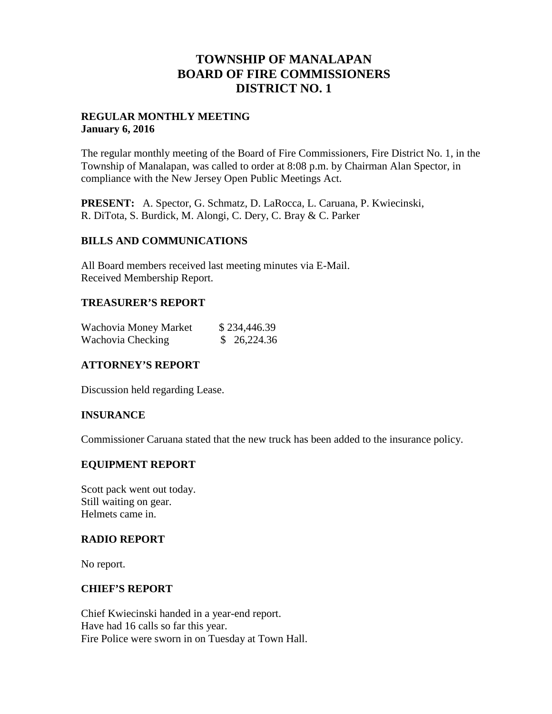# **TOWNSHIP OF MANALAPAN BOARD OF FIRE COMMISSIONERS DISTRICT NO. 1**

### **REGULAR MONTHLY MEETING January 6, 2016**

The regular monthly meeting of the Board of Fire Commissioners, Fire District No. 1, in the Township of Manalapan, was called to order at 8:08 p.m. by Chairman Alan Spector, in compliance with the New Jersey Open Public Meetings Act.

**PRESENT:** A. Spector, G. Schmatz, D. LaRocca, L. Caruana, P. Kwiecinski, R. DiTota, S. Burdick, M. Alongi, C. Dery, C. Bray & C. Parker

#### **BILLS AND COMMUNICATIONS**

All Board members received last meeting minutes via E-Mail. Received Membership Report.

### **TREASURER'S REPORT**

| Wachovia Money Market | \$234,446.39 |
|-----------------------|--------------|
| Wachovia Checking     | \$26,224.36  |

## **ATTORNEY'S REPORT**

Discussion held regarding Lease.

#### **INSURANCE**

Commissioner Caruana stated that the new truck has been added to the insurance policy.

#### **EQUIPMENT REPORT**

Scott pack went out today. Still waiting on gear. Helmets came in.

#### **RADIO REPORT**

No report.

#### **CHIEF'S REPORT**

Chief Kwiecinski handed in a year-end report. Have had 16 calls so far this year. Fire Police were sworn in on Tuesday at Town Hall.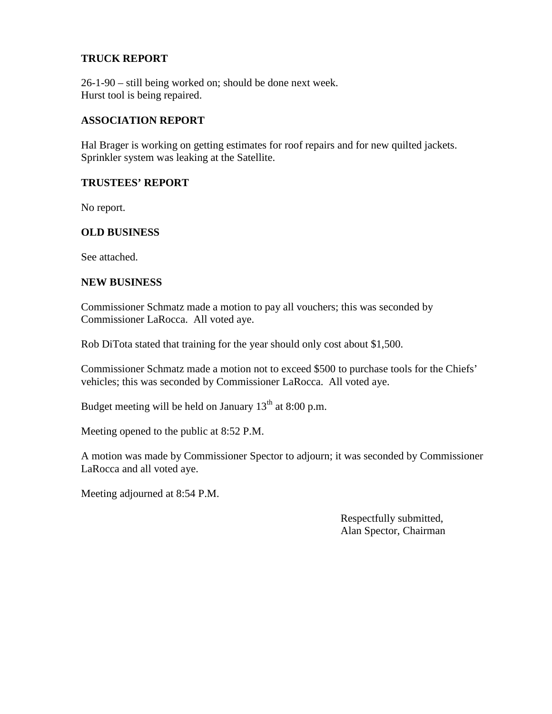### **TRUCK REPORT**

26-1-90 – still being worked on; should be done next week. Hurst tool is being repaired.

#### **ASSOCIATION REPORT**

Hal Brager is working on getting estimates for roof repairs and for new quilted jackets. Sprinkler system was leaking at the Satellite.

#### **TRUSTEES' REPORT**

No report.

#### **OLD BUSINESS**

See attached.

#### **NEW BUSINESS**

Commissioner Schmatz made a motion to pay all vouchers; this was seconded by Commissioner LaRocca. All voted aye.

Rob DiTota stated that training for the year should only cost about \$1,500.

Commissioner Schmatz made a motion not to exceed \$500 to purchase tools for the Chiefs' vehicles; this was seconded by Commissioner LaRocca. All voted aye.

Budget meeting will be held on January  $13<sup>th</sup>$  at 8:00 p.m.

Meeting opened to the public at 8:52 P.M.

A motion was made by Commissioner Spector to adjourn; it was seconded by Commissioner LaRocca and all voted aye.

Meeting adjourned at 8:54 P.M.

Respectfully submitted, Alan Spector, Chairman